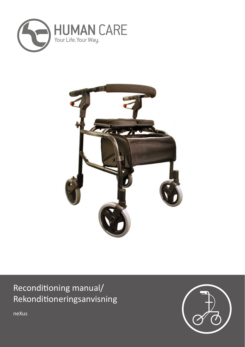



# Reconditioning manual/ Rekonditioneringsanvisning

neXus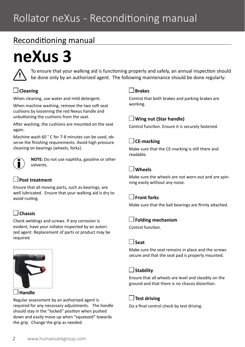## Reconditioning manual

# **neXus 3**



To ensure that your walking aid is functioning properly and safely, an annual inspection should be done only by an authorized agent. The following maintenance should be done regularly:

## **Cleaning**

When cleaning, use water and mild detergent.

When machine washing, remove the two soft seat cushions by loosening the red Nexus handle and unbuttoning the cushions from the seat.

After washing, the cushions are mounted on the seat again.

Machine wash 60 ° C for 7-8 minutes can be used, observe the finishing requirements. Avoid high pressure cleaning on bearings (wheels, forks).



**NOTE:** Do not use naphtha, gasoline or other solvents.

## **Post treatment**

Ensure that all moving parts, such as bearings, are well lubricated. Ensure that your walking aid is dry to avoid rusting.

## **Chassis**

Check weldings and screws. If any corrosion is evident, have your rollator inspected by an autorized agent. Replacement of parts or product may be required.



#### **Handle**

Regular assessment by an authorized agent is required for any necessary adjustments. The handle should stay in the "locked" position when pushed down and easily move up when "squeezed" towards the grip. Change the grip as needed.

#### **Brakes**

Control that both brakes and parking brakes are working.

#### **Wing nut (Star handle)**

Control function. Ensure it is securely fastened.

#### **CE-marking**

Make sure that the CE-marking is still there and readable.

## **Wheels**

Make sure the wheels are not worn-out and are spinning easily without any noise.

## **Front forks**

Make sure that the ball bearings are firmly attached.

#### **Folding mechanism**

Control function.

#### **Seat**

Make sure the seat remains in place and the screws secure and that the seat pad is properly mounted.

## **Stability**

Ensure that all wheels are level and steadily on the ground and that there is no chassis distortion.

## **Test driving**

Do a final control check by test driving.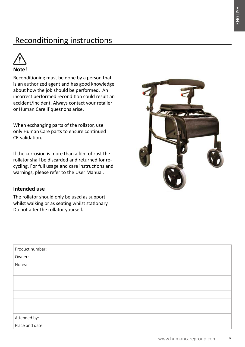# Reconditioning instructions



Reconditioning must be done by a person that is an authorized agent and has good knowledge about how the job should be performed. An incorrect performed recondition could result an accident/incident. Always contact your retailer or Human Care if questions arise.

When exchanging parts of the rollator, use only Human Care parts to ensure continued CE-validation.

If the corrosion is more than a film of rust the rollator shall be discarded and returned for recycling. For full usage and care instructions and warnings, please refer to the User Manual.

#### **Intended use**

The rollator should only be used as support whilst walking or as seating whilst stationary. Do not alter the rollator yourself.



| Product number: |
|-----------------|
| Owner:          |
| Notes:          |
|                 |
|                 |
|                 |
|                 |
|                 |
|                 |
| Attended by:    |
| Place and date: |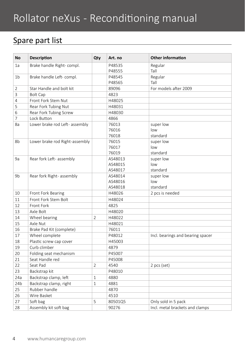# Rollator neXus - Reconditioning manual

## Spare part list

| <b>No</b>       | <b>Description</b>             | Qty            | Art. no           | <b>Other information</b>          |
|-----------------|--------------------------------|----------------|-------------------|-----------------------------------|
| 1a              | Brake handle Right-compl.      |                | P48535            | Regular                           |
|                 |                                |                | P48555            | Tall                              |
| 1 <sub>b</sub>  | Brake handle Left- compl.      |                | P48545            | Regular                           |
|                 |                                |                | P48565            | Tall                              |
| $\overline{2}$  | Star Handle and bolt kit       |                | 89096             | For models after 2009             |
| 3               | <b>Bolt Cap</b>                |                | 4823              |                                   |
| 4               | Front Fork Stem Nut            |                | H48025            |                                   |
| 5               | Rear Fork Tubing Nut           |                | H48031            |                                   |
| 6               | Rear Fork Tubing Screw         |                | H48030            |                                   |
| 7               | Lock Button                    |                | 4866              |                                   |
| 8a              | Lower brake rod Left- assembly |                | 76013             | super low                         |
|                 |                                |                | 76016             | low                               |
|                 |                                |                | 76018             | standard                          |
| 8b              | Lower brake rod Right-assembly |                | 76015             | super low                         |
|                 |                                |                | 76017             | low                               |
|                 |                                |                | 76019             | standard                          |
| 9a              | Rear fork Left- assembly       |                | AS48013           | super low                         |
|                 |                                |                | AS48015           | low                               |
|                 |                                |                | AS48017           | standard                          |
| 9b              | Rear fork Right- assembly      |                | AS48014           | super low                         |
|                 |                                |                | AS48016           | low                               |
| 10              | Front Fork Bearing             |                | AS48018<br>H48026 | standard<br>2 pcs is needed       |
| 11              | Front Fork Stem Bolt           |                | H48024            |                                   |
| 12              | Front Fork                     |                | 4825              |                                   |
| 13              | Axle Bolt                      |                | H48020            |                                   |
| 14              | Wheel bearing                  | $\overline{2}$ | H48022            |                                   |
| 15              | Axle Nut                       |                | H48021            |                                   |
| 16              | Brake Pad Kit (complete)       |                | 76011             |                                   |
| 17              | Wheel complete                 |                | P48012            | Incl. bearings and bearing spacer |
| 18              | Plastic screw cap cover        |                | H45003            |                                   |
| 19              | Curb climber                   |                | 4879              |                                   |
| 20              | Folding seat mechanism         |                | P45007            |                                   |
| 21              | Seat Handle red                |                | P45008            |                                   |
| 22              | Seat Pad                       | $\overline{2}$ | 4540              |                                   |
| 23              | Backstrap kit                  |                | P48010            | 2 pcs (set)                       |
|                 |                                |                |                   |                                   |
| 24a             | Backstrap clamp, left          | $\mathbf{1}$   | 4880              |                                   |
| 24 <sub>b</sub> | Backstrap clamp, right         | $\mathbf{1}$   | 4881              |                                   |
| 25              | Rubber handle                  |                | 4870              |                                   |
| 26              | Wire Basket                    |                | 4510              |                                   |
| 27              | Soft bag                       | 5              | 80501Q5           | Only sold in 5 pack               |
| 28              | Assembly kit soft bag          |                | 90276             | Incl. metal brackets and clamps   |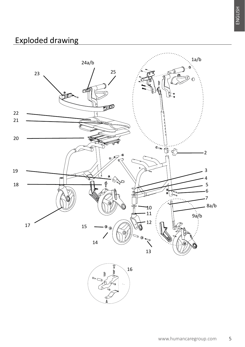# Exploded drawing

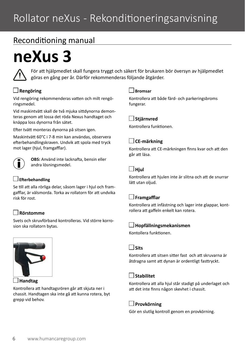## Reconditioning manual

# **neXus 3**



För att hjälpmedlet skall fungera tryggt och säkert för brukaren bör översyn av hjälpmedlet göras en gång per år. Därför rekommenderas följande åtgärder.

## **Rengöring**

Vid rengöring rekommenderas vatten och milt rengöringsmedel.

Vid maskintvätt skall de två mjuka sittdynorna demonteras genom att lossa det röda Nexus handtaget och knäppa loss dynorna från sätet.

Efter tvätt monteras dynorna på sitsen igen.

Maskintvätt 60°C i 7-8 min kan användas, observera efterbehandlingskraven. Undvik att spola med tryck mot lager (hiul, framgafflar).



**OBS:** Använd inte lacknafta, bensin eller andra lösningsmedel.

#### **Efterbehandling**

Se till att alla rörliga delar, såsom lager i hjul och framgafflar, är välsmorda. Torka av rollatorn för att undvika risk för rost.

## **Rörstomme**

Svets och skruvförband kontrolleras. Vid större korrosion ska rollatorn bytas.



 **Handtag**

Kontrollera att handtagsrören går att skjuta ner i chassit. Handtagen ska inte gå att kunna rotera, byt grepp vid behov.

#### **Bromsar**

Kontrollera att både färd- och parkeringsbroms fungerar.

#### **Stjärnvred**

Kontrollera funktionen.

## **CE-märkning**

Kontrollera att CE-märkningen finns kvar och att den går att läsa.

#### **Hjul**

Kontrollera att hjulen inte är slitna och att de snurrar lätt utan oljud.

## **Framgafflar**

Kontrollera att infästning och lager inte glappar, kontrollera att gaffeln enkelt kan rotera.

## **Hopfällningsmekanismen**

Kontollera funktionen.

#### **Sits**

Kontrollera att sitsen sitter fast och att skruvarna är åtdragna samt att dynan är ordentligt fasttryckt.

## **Stabilitet**

Kontrollera att alla hjul står stadigt på underlaget och att det inte finns någon skevhet i chassit.

## **Provkörning**

Gör en slutlig kontroll genom en provkörning.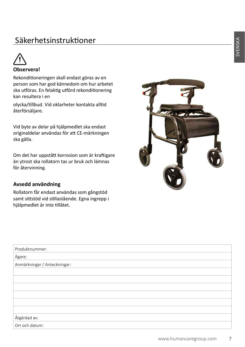# Säkerhetsinstruktioner



## **Observera!**

Rekonditioneringen skall endast göras av en person som har god kännedom om hur arbetet ska utföras. En felaktig utförd rekonditionering kan resultera i en

olycka/tillbud. Vid oklarheter kontakta alltid återförsäljare.

Vid byte av delar på hjälpmedlet ska endast originaldelar användas för att CE-märkningen ska gälla.

Om det har uppstått korrosion som är kraftigare än ytrost ska rollatorn tas ur bruk och lämnas för återvinning.

#### **Avsedd användning**

Rollatorn får endast användas som gångstöd samt sittstöd vid stillastående. Egna ingrepp i hjälpmedlet är inte tillåtet.



| Produktnummer:               |
|------------------------------|
| Ägare:                       |
| Anmärkningar / Anteckningar: |
|                              |
|                              |
|                              |
|                              |
|                              |
|                              |
| Åtgärdad av:                 |
| Ort och datum:               |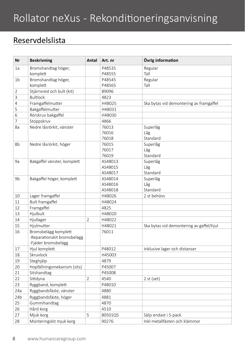# Rollator neXus - Rekonditioneringsanvisning

## Reservdelslista

| Nr              | <b>Beskrivning</b>          | Antal          | Art. nr            | Övrig information                        |
|-----------------|-----------------------------|----------------|--------------------|------------------------------------------|
| 1a              | Bromshandtag höger,         |                | P48535             | Regular                                  |
|                 | komplett                    |                | P48555             | Tall                                     |
| 1 <sub>b</sub>  | Bromshandtag höger,         |                | P48545             | Regular                                  |
|                 | komplett                    |                | P48565             | Tall                                     |
| 2               | Stjärnvred och bult (kit)   |                | 89096              |                                          |
| 3               | <b>Bultlock</b>             |                | 4823               |                                          |
| 4               | Framgaffelmutter            |                | H48025             | Ska bytas vid demontering av framgaffel  |
| 5               | Bakgaffelmutter             |                | H48031             |                                          |
| 6               | Rörskruv bakgaffel          |                | H48030             |                                          |
| 7               | Stoppskruv                  |                | 4866               |                                          |
| 8a              | Nedre låsrörkit, vänster    |                | 76013              | Superlåg                                 |
|                 |                             |                | 76016              | Låg                                      |
|                 |                             |                | 76018              | Standard                                 |
| 8b              | Nedre låsrörkit, höger      |                | 76015              | Superlåg                                 |
|                 |                             |                | 76017              | Låg                                      |
|                 |                             |                | 76019              | Standard                                 |
| 9a              | Bakgaffel vänster, komplett |                | AS48013            | Superlåg                                 |
|                 |                             |                | AS48015            | Låg                                      |
|                 |                             |                | AS48017            | Standard                                 |
| 9b              | Bakgaffel höger, komplett   |                | AS48014<br>AS48016 | Superlåg<br>Låg                          |
|                 |                             |                | AS48018            | Standard                                 |
| 10              | Lager framgaffel            |                | H48026             | 2 st behövs                              |
| 11              | <b>Bult framgaffel</b>      |                | H48024             |                                          |
| 12              | Framgaffel                  |                | 4825               |                                          |
| 13              | Hjulbult                    |                | H48020             |                                          |
| 14              | Hjullager                   | $\overline{2}$ | H48022             |                                          |
| 15              | Hjulmutter                  |                | H48021             | Ska bytas vid demontering av gaffel/hjul |
| 16              | Bromsbelägg komplett        |                | 76011              |                                          |
|                 | -Reparationskit bromsbelägg |                |                    |                                          |
|                 | -Fjäder bromsbelägg         |                |                    |                                          |
| 17              | Hjul komplett               |                | P48012             | Inklusive lager och distanser            |
| 18              | Skruvlock                   |                | H45003             |                                          |
| 19              | Steghjälp                   |                | 4879               |                                          |
| 20              | Hopfällningsmekanism (sits) |                | P45007             |                                          |
| 21              | Sitshandtag                 |                | P45008             |                                          |
| 22              | Sittdyna                    | $\overline{2}$ | 4540               | $2$ st (set)                             |
| 23              | Ryggband, komplett          |                | P48010             |                                          |
| 24a             | Ryggbandsfäste, vänster     |                | 4880               |                                          |
| 24 <sub>b</sub> | Ryggbandsfäste, höger       |                | 4881               |                                          |
| 25              | Gummihandtag                |                | 4870               |                                          |
| 26              | Hård korg                   |                | 4510               |                                          |
| 27              | Mjuk korg                   | 5              | 80501Q5            | Säljs endast i 5-pack                    |
| 28              | Monteringskit mjuk korg     |                | 90276              | Inkl metallfästen och klämmor            |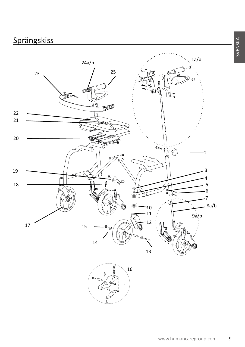# **Sprängskiss**